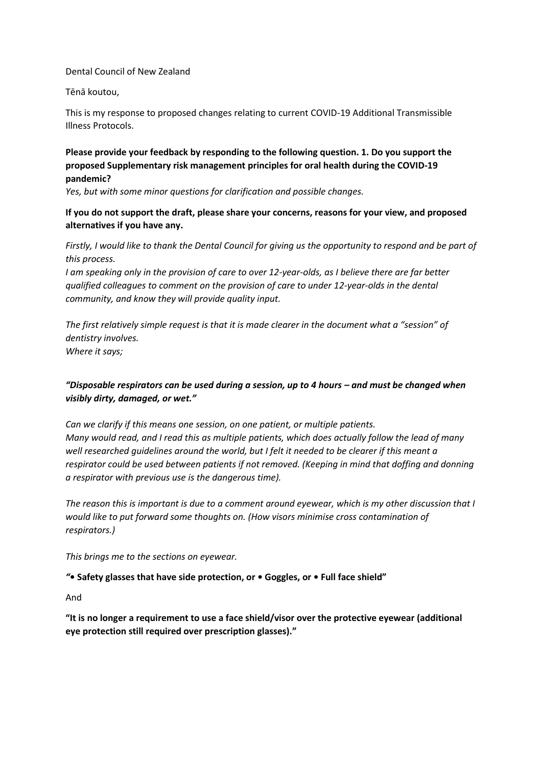### Dental Council of New Zealand

#### Tēnā koutou,

This is my response to proposed changes relating to current COVID-19 Additional Transmissible Illness Protocols.

## **Please provide your feedback by responding to the following question. 1. Do you support the proposed Supplementary risk management principles for oral health during the COVID-19 pandemic?**

*Yes, but with some minor questions for clarification and possible changes.*

## **If you do not support the draft, please share your concerns, reasons for your view, and proposed alternatives if you have any.**

*Firstly, I would like to thank the Dental Council for giving us the opportunity to respond and be part of this process.*

*I am speaking only in the provision of care to over 12-year-olds, as I believe there are far better qualified colleagues to comment on the provision of care to under 12-year-olds in the dental community, and know they will provide quality input.*

*The first relatively simple request is that it is made clearer in the document what a "session" of dentistry involves. Where it says;*

## "Disposable respirators can be used during a session, up to 4 hours - and must be changed when *visibly dirty, damaged, or wet."*

*Can we clarify if this means one session, on one patient, or multiple patients. Many would read, and I read this as multiple patients, which does actually follow the lead of many well researched guidelines around the world, but I felt it needed to be clearer if this meant a respirator could be used between patients if not removed. (Keeping in mind that doffing and donning a respirator with previous use is the dangerous time).*

*The reason this is important is due to a comment around eyewear, which is my other discussion that I would like to put forward some thoughts on. (How visors minimise cross contamination of respirators.)*

*This brings me to the sections on eyewear.*

### *"***• Safety glasses that have side protection, or • Goggles, or • Full face shield"**

And

**"It is no longer a requirement to use a face shield/visor over the protective eyewear (additional eye protection still required over prescription glasses)."**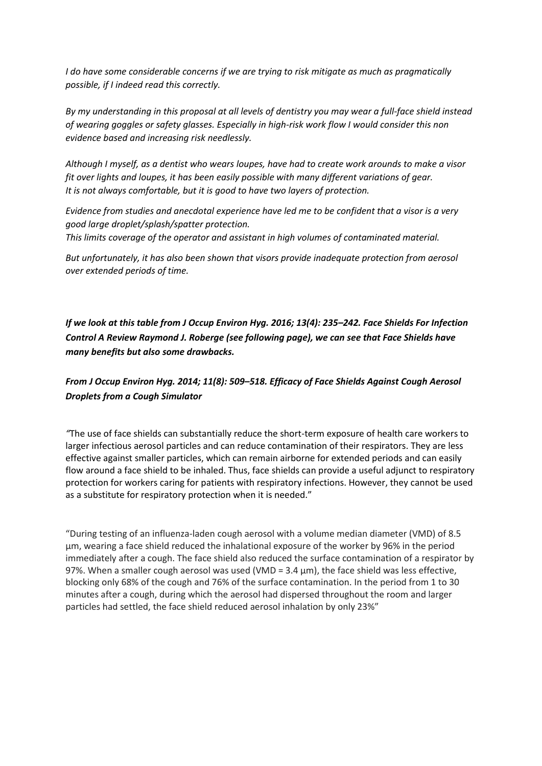*I do have some considerable concerns if we are trying to risk mitigate as much as pragmatically possible, if I indeed read this correctly.*

*By my understanding in this proposal at all levels of dentistry you may wear a full-face shield instead of wearing goggles or safety glasses. Especially in high-risk work flow I would consider this non evidence based and increasing risk needlessly.*

*Although I myself, as a dentist who wears loupes, have had to create work arounds to make a visor fit over lights and loupes, it has been easily possible with many different variations of gear. It is not always comfortable, but it is good to have two layers of protection.*

*Evidence from studies and anecdotal experience have led me to be confident that a visor is a very good large droplet/splash/spatter protection. This limits coverage of the operator and assistant in high volumes of contaminated material.*

*But unfortunately, it has also been shown that visors provide inadequate protection from aerosol over extended periods of time.*

*If we look at this table from [J Occup Environ Hyg.](https://www.ncbi.nlm.nih.gov/pmc/articles/PMC5015006/) 2016; 13(4): 235–242. Face Shields For Infection Control A Review Raymond J. Roberge (see following page), we can see that Face Shields have many benefits but also some drawbacks.*

# *From [J Occup Environ Hyg.](https://www.ncbi.nlm.nih.gov/pmc/articles/PMC4734356/) 2014; 11(8): 509–518. Efficacy of Face Shields Against Cough Aerosol Droplets from a Cough Simulator*

*"*The use of face shields can substantially reduce the short-term exposure of health care workers to larger infectious aerosol particles and can reduce contamination of their respirators. They are less effective against smaller particles, which can remain airborne for extended periods and can easily flow around a face shield to be inhaled. Thus, face shields can provide a useful adjunct to respiratory protection for workers caring for patients with respiratory infections. However, they cannot be used as a substitute for respiratory protection when it is needed."

"During testing of an influenza-laden cough aerosol with a volume median diameter (VMD) of 8.5 μm, wearing a face shield reduced the inhalational exposure of the worker by 96% in the period immediately after a cough. The face shield also reduced the surface contamination of a respirator by 97%. When a smaller cough aerosol was used (VMD =  $3.4 \mu$ m), the face shield was less effective, blocking only 68% of the cough and 76% of the surface contamination. In the period from 1 to 30 minutes after a cough, during which the aerosol had dispersed throughout the room and larger particles had settled, the face shield reduced aerosol inhalation by only 23%"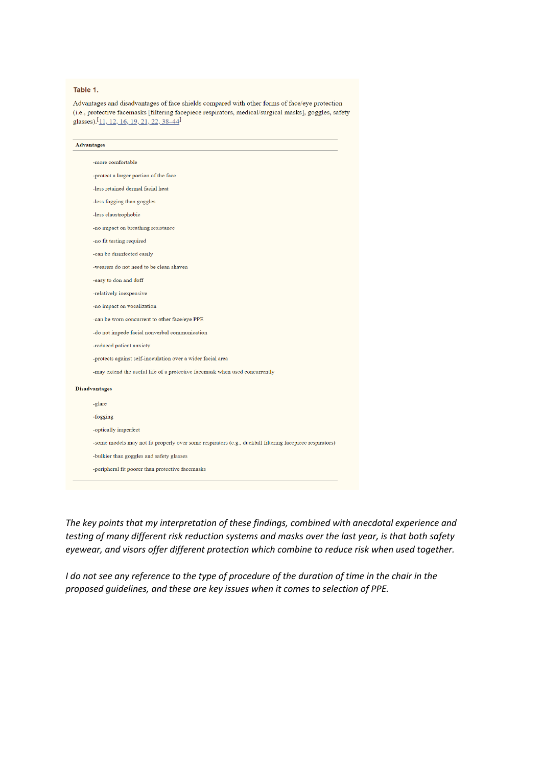#### Table 1.

Advantages and disadvantages of face shields compared with other forms of face/eye protection (i.e., protective facemasks [filtering facepiece respirators, medical/surgical masks], goggles, safety glasses).<sup>[</sup>11, 12, 16, 19, 21, 22, 38–44<sup>]</sup>

| <b>Advantages</b> |                                                                                                          |
|-------------------|----------------------------------------------------------------------------------------------------------|
|                   | -more comfortable                                                                                        |
|                   | -protect a larger portion of the face                                                                    |
|                   | -less retained dermal facial heat                                                                        |
|                   | -less fogging than goggles                                                                               |
|                   | -less claustrophobic                                                                                     |
|                   | -no impact on breathing resistance                                                                       |
|                   | -no fit testing required                                                                                 |
|                   | -can be disinfected easily                                                                               |
|                   | -wearers do not need to be clean shaven                                                                  |
|                   | -easy to don and doff                                                                                    |
|                   | -relatively inexpensive                                                                                  |
|                   | -no impact on vocalization                                                                               |
|                   | -can be worn concurrent to other face/eye PPE                                                            |
|                   | -do not impede facial nonverbal communication                                                            |
|                   | -reduced patient anxiety                                                                                 |
|                   | -protects against self-inoculation over a wider facial area                                              |
|                   | -may extend the useful life of a protective facemask when used concurrently                              |
|                   | <b>Disadvantages</b>                                                                                     |
|                   | -glare                                                                                                   |
|                   | -fogging                                                                                                 |
|                   | -optically imperfect                                                                                     |
|                   | -some models may not fit properly over some respirators (e.g., duckbill filtering facepiece respirators) |
|                   | -bulkier than goggles and safety glasses                                                                 |
|                   | -peripheral fit poorer than protective facemasks                                                         |

*The key points that my interpretation of these findings, combined with anecdotal experience and testing of many different risk reduction systems and masks over the last year, is that both safety eyewear, and visors offer different protection which combine to reduce risk when used together.*

*I do not see any reference to the type of procedure of the duration of time in the chair in the proposed guidelines, and these are key issues when it comes to selection of PPE.*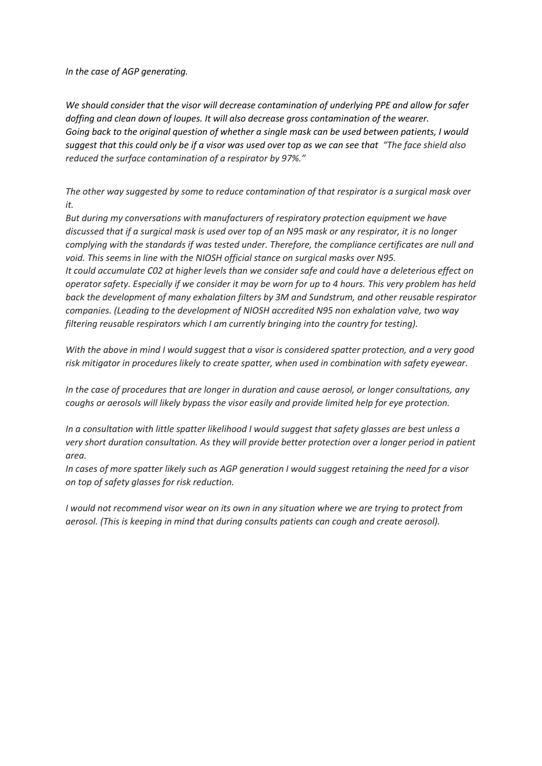*In the case of AGP generating.*

*We should consider that the visor will decrease contamination of underlying PPE and allow for safer doffing and clean down of loupes. It will also decrease gross contamination of the wearer. Going back to the original question of whether a single mask can be used between patients, I would suggest that this could only be if a visor was used over top as we can see that "The face shield also reduced the surface contamination of a respirator by 97%."*

*The other way suggested by some to reduce contamination of that respirator is a surgical mask over it.*

*But during my conversations with manufacturers of respiratory protection equipment we have discussed that if a surgical mask is used over top of an N95 mask or any respirator, it is no longer complying with the standards if was tested under. Therefore, the compliance certificates are null and void. This seems in line with the NIOSH official stance on surgical masks over N95.*

*It could accumulate C02 at higher levels than we consider safe and could have a deleterious effect on operator safety. Especially if we consider it may be worn for up to 4 hours. This very problem has held back the development of many exhalation filters by 3M and Sundstrum, and other reusable respirator companies. (Leading to the development of NIOSH accredited N95 non exhalation valve, two way filtering reusable respirators which I am currently bringing into the country for testing).*

*With the above in mind I would suggest that a visor is considered spatter protection, and a very good risk mitigator in procedures likely to create spatter, when used in combination with safety eyewear.*

*In the case of procedures that are longer in duration and cause aerosol, or longer consultations, any coughs or aerosols will likely bypass the visor easily and provide limited help for eye protection.*

*In a consultation with little spatter likelihood I would suggest that safety glasses are best unless a very short duration consultation. As they will provide better protection over a longer period in patient area.*

*In cases of more spatter likely such as AGP generation I would suggest retaining the need for a visor on top of safety glasses for risk reduction.*

*I would not recommend visor wear on its own in any situation where we are trying to protect from aerosol. (This is keeping in mind that during consults patients can cough and create aerosol).*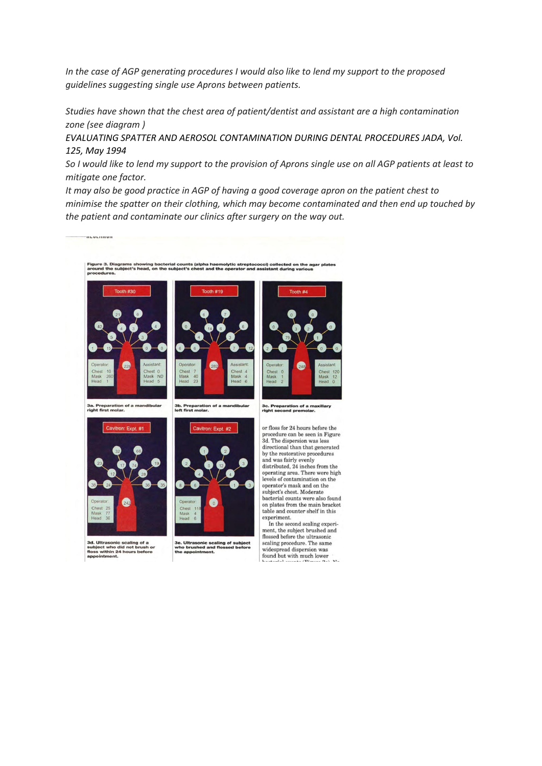*In the case of AGP generating procedures I would also like to lend my support to the proposed guidelines suggesting single use Aprons between patients.*

*Studies have shown that the chest area of patient/dentist and assistant are a high contamination zone (see diagram )*

*EVALUATING SPATTER AND AEROSOL CONTAMINATION DURING DENTAL PROCEDURES JADA, Vol. 125, May 1994*

*So I would like to lend my support to the provision of Aprons single use on all AGP patients at least to mitigate one factor.*

*It may also be good practice in AGP of having a good coverage apron on the patient chest to minimise the spatter on their clothing, which may become contaminated and then end up touched by the patient and contaminate our clinics after surgery on the way out.*



ltrasonic scaling of a<br>ct who did not brush or<br>within 24 hours before

............

3e. Ultrasonic scaling of subject<br>who brushed and flossed before<br>the appointment.

procedure can be seen in Figure operating area. There were high bacterial counts were also found on plates from the main bracket

ment, the subject brushed and flossed before the ultrasonic scaling procedure. The same<br>widespread dispersion was widespread dispersion was<br>found but with much lower<br>haddonial accepts (Nigman 0.1)